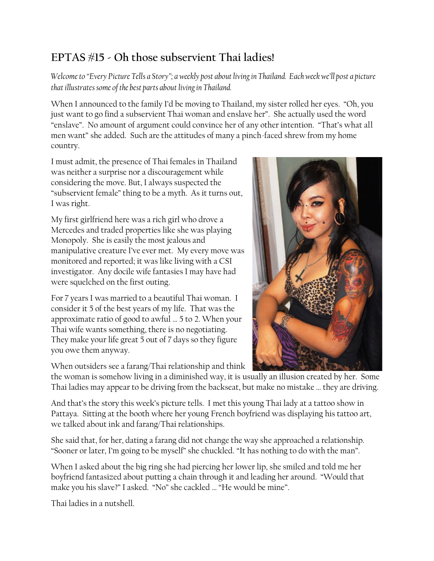## **EPTAS #15 - Oh those subservient Thai ladies!**

*Welcome to "Every Picture Tells a Story"; a weekly post about living in Thailand. Each week we'll post a picture that illustrates some of the best parts about living in Thailand.*

When I announced to the family I'd be moving to Thailand, my sister rolled her eyes. "Oh, you just want to go find a subservient Thai woman and enslave her". She actually used the word "enslave". No amount of argument could convince her of any other intention. "That's what all men want" she added. Such are the attitudes of many a pinch-faced shrew from my home country.

I must admit, the presence of Thai females in Thailand was neither a surprise nor a discouragement while considering the move. But, I always suspected the "subservient female" thing to be a myth. As it turns out, I was right.

My first girlfriend here was a rich girl who drove a Mercedes and traded properties like she was playing Monopoly. She is easily the most jealous and manipulative creature I've ever met. My every move was monitored and reported; it was like living with a CSI investigator. Any docile wife fantasies I may have had were squelched on the first outing.

For 7 years I was married to a beautiful Thai woman. I consider it 5 of the best years of my life. That was the approximate ratio of good to awful … 5 to 2. When your Thai wife wants something, there is no negotiating. They make your life great 5 out of 7 days so they figure you owe them anyway.

When outsiders see a farang/Thai relationship and think



the woman is somehow living in a diminished way, it is usually an illusion created by her. Some Thai ladies may appear to be driving from the backseat, but make no mistake … they are driving.

And that's the story this week's picture tells. I met this young Thai lady at a tattoo show in Pattaya. Sitting at the booth where her young French boyfriend was displaying his tattoo art, we talked about ink and farang/Thai relationships.

She said that, for her, dating a farang did not change the way she approached a relationship. "Sooner or later, I'm going to be myself" she chuckled. "It has nothing to do with the man".

When I asked about the big ring she had piercing her lower lip, she smiled and told me her boyfriend fantasized about putting a chain through it and leading her around. "Would that make you his slave?" I asked. "No" she cackled … "He would be mine".

Thai ladies in a nutshell.